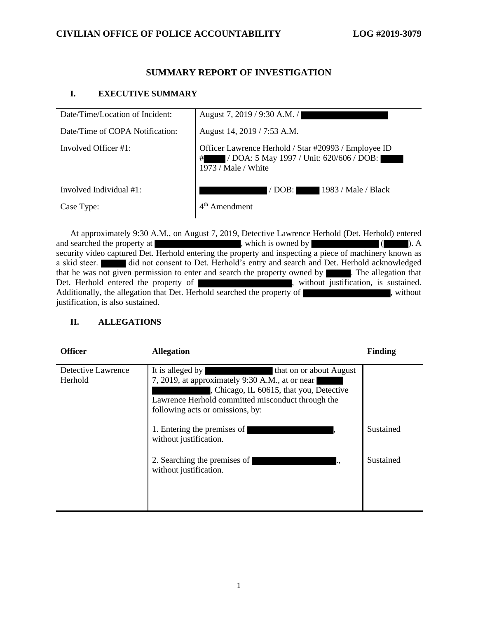# **SUMMARY REPORT OF INVESTIGATION**

## **I. EXECUTIVE SUMMARY**

| Date/Time/Location of Incident: | August 7, 2019 / 9:30 A.M. /                                                                                            |
|---------------------------------|-------------------------------------------------------------------------------------------------------------------------|
| Date/Time of COPA Notification: | August 14, 2019 / 7:53 A.M.                                                                                             |
| Involved Officer #1:            | Officer Lawrence Herhold / Star #20993 / Employee ID<br>/ DOA: 5 May 1997 / Unit: 620/606 / DOB:<br>1973 / Male / White |
| Involved Individual $#1$ :      | 1983 / Male / Black<br>$/$ DOB:                                                                                         |
| Case Type:                      | Amendment                                                                                                               |

At approximately 9:30 A.M., on August 7, 2019, Detective Lawrence Herhold (Det. Herhold) entered and searched the property at  $\overline{\phantom{a}}$ , which is owned by  $\overline{\phantom{a}}$ . A security video captured Det. Herhold entering the property and inspecting a piece of machinery known as a skid steer. did not consent to Det. Herhold's entry and search and Det. Herhold acknowledged that he was not given permission to enter and search the property owned by **Fig. 7.** The allegation that Det. Herhold entered the property of , without justification, is sustained. Additionally, the allegation that Det. Herhold searched the property of , without justification, is also sustained.

# **II. ALLEGATIONS**

| <b>Officer</b>                | <b>Allegation</b>                                                                                                                                                                                                                                                  | <b>Finding</b> |
|-------------------------------|--------------------------------------------------------------------------------------------------------------------------------------------------------------------------------------------------------------------------------------------------------------------|----------------|
| Detective Lawrence<br>Herhold | It is alleged by<br>that on or about August<br>7, 2019, at approximately 9:30 A.M., at or near<br>, Chicago, IL 60615, that you, Detective<br>Lawrence Herhold committed misconduct through the<br>following acts or omissions, by:<br>1. Entering the premises of | Sustained      |
|                               | without justification.                                                                                                                                                                                                                                             |                |
|                               | 2. Searching the premises of<br>without justification.                                                                                                                                                                                                             | Sustained      |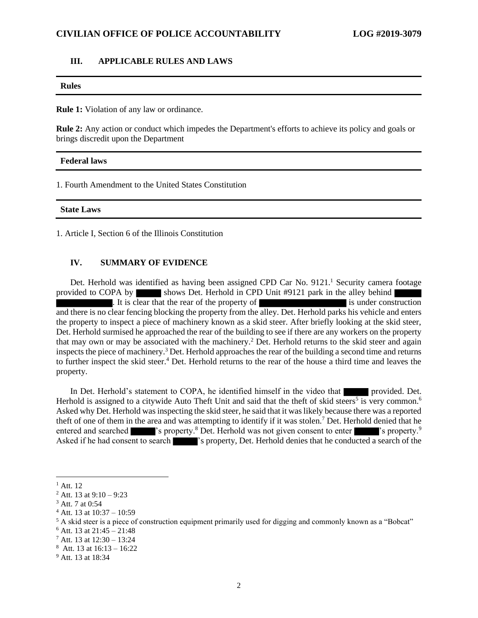#### **III. APPLICABLE RULES AND LAWS**

# **Rules**

**Rule 1:** Violation of any law or ordinance.

**Rule 2:** Any action or conduct which impedes the Department's efforts to achieve its policy and goals or brings discredit upon the Department

#### **Federal laws**

1. Fourth Amendment to the United States Constitution

#### **State Laws**

1. Article I, Section 6 of the Illinois Constitution

#### **IV. SUMMARY OF EVIDENCE**

Det. Herhold was identified as having been assigned CPD Car No. 9121.<sup>1</sup> Security camera footage provided to COPA by shows Det. Herhold in CPD Unit #9121 park in the alley behind It is clear that the rear of the property of its under construction and there is no clear fencing blocking the property from the alley. Det. Herhold parks his vehicle and enters the property to inspect a piece of machinery known as a skid steer. After briefly looking at the skid steer, Det. Herhold surmised he approached the rear of the building to see if there are any workers on the property that may own or may be associated with the machinery.<sup>2</sup> Det. Herhold returns to the skid steer and again inspects the piece of machinery.<sup>3</sup> Det. Herhold approaches the rear of the building a second time and returns to further inspect the skid steer.<sup>4</sup> Det. Herhold returns to the rear of the house a third time and leaves the property.

In Det. Herhold's statement to COPA, he identified himself in the video that **provided**. Det. Herhold is assigned to a citywide Auto Theft Unit and said that the theft of skid steers<sup>5</sup> is very common.<sup>6</sup> Asked why Det. Herhold was inspecting the skid steer, he said that it was likely because there was a reported theft of one of them in the area and was attempting to identify if it was stolen.<sup>7</sup> Det. Herhold denied that he entered and searched  $\blacksquare$  's property.<sup>8</sup> Det. Herhold was not given consent to enter  $\blacksquare$  's property.<sup>9</sup> Asked if he had consent to search  $\blacksquare$  's property, Det. Herhold denies that he conducted a search of the

<sup>&</sup>lt;sup>1</sup> Att. 12

 $2$  Att. 13 at 9:10 – 9:23

<sup>3</sup> Att. 7 at 0:54

<sup>4</sup> Att. 13 at 10:37 – 10:59

<sup>&</sup>lt;sup>5</sup> A skid steer is a piece of construction equipment primarily used for digging and commonly known as a "Bobcat"

 $6$  Att. 13 at 21:45 – 21:48

 $7$  Att. 13 at  $12:30 - 13:24$ 

 $^8$  Att. 13 at 16:13 – 16:22

<sup>&</sup>lt;sup>9</sup> Att. 13 at 18:34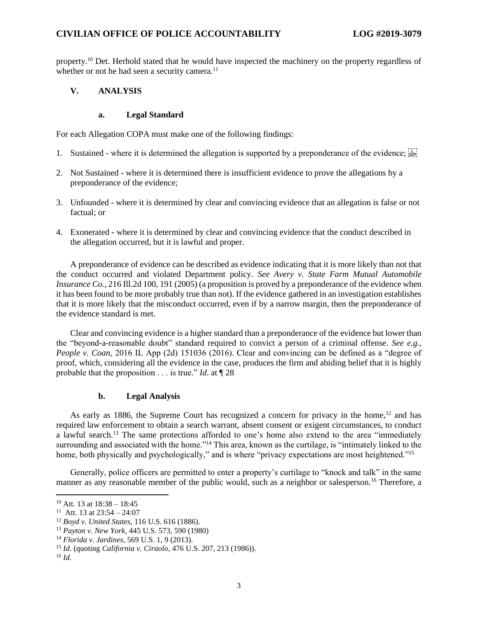property.<sup>10</sup> Det. Herhold stated that he would have inspected the machinery on the property regardless of whether or not he had seen a security camera.<sup>11</sup>

### **V. ANALYSIS**

#### **a. Legal Standard**

For each Allegation COPA must make one of the following findings:

- 1. Sustained where it is determined the allegation is supported by a preponderance of the evidence;  $\frac{1}{15}$
- 2. Not Sustained where it is determined there is insufficient evidence to prove the allegations by a preponderance of the evidence;
- 3. Unfounded where it is determined by clear and convincing evidence that an allegation is false or not factual; or
- 4. Exonerated where it is determined by clear and convincing evidence that the conduct described in the allegation occurred, but it is lawful and proper.

A preponderance of evidence can be described as evidence indicating that it is more likely than not that the conduct occurred and violated Department policy. *See Avery v. State Farm Mutual Automobile Insurance Co.*, 216 Ill.2d 100, 191 (2005) (a proposition is proved by a preponderance of the evidence when it has been found to be more probably true than not). If the evidence gathered in an investigation establishes that it is more likely that the misconduct occurred, even if by a narrow margin, then the preponderance of the evidence standard is met.

Clear and convincing evidence is a higher standard than a preponderance of the evidence but lower than the "beyond-a-reasonable doubt" standard required to convict a person of a criminal offense. *See e.g.*, *People v. Coan*, 2016 IL App (2d) 151036 (2016). Clear and convincing can be defined as a "degree of proof, which, considering all the evidence in the case, produces the firm and abiding belief that it is highly probable that the proposition . . . is true." *Id*. at ¶ 28

#### **b. Legal Analysis**

As early as 1886, the Supreme Court has recognized a concern for privacy in the home,<sup>12</sup> and has required law enforcement to obtain a search warrant, absent consent or exigent circumstances, to conduct a lawful search.<sup>13</sup> The same protections afforded to one's home also extend to the area "immediately surrounding and associated with the home."<sup>14</sup> This area, known as the curtilage, is "intimately linked to the home, both physically and psychologically," and is where "privacy expectations are most heightened."<sup>15</sup>

Generally, police officers are permitted to enter a property's curtilage to "knock and talk" in the same manner as any reasonable member of the public would, such as a neighbor or salesperson.<sup>16</sup> Therefore, a

 $10$  Att. 13 at  $18:38 - 18:45$ 

<sup>&</sup>lt;sup>11</sup> Att. 13 at  $23:54 - 24:07$ 

<sup>12</sup> *Boyd v. United States*, 116 U.S. 616 (1886).

<sup>13</sup> *Payton v. New York,* 445 U.S. 573, 590 (1980)

<sup>14</sup> *Florida v. Jardines*, 569 U.S. 1, 9 (2013).

<sup>15</sup> *Id*. (quoting *California v. Ciraolo*, 476 U.S. 207, 213 (1986)).

<sup>16</sup> *Id.*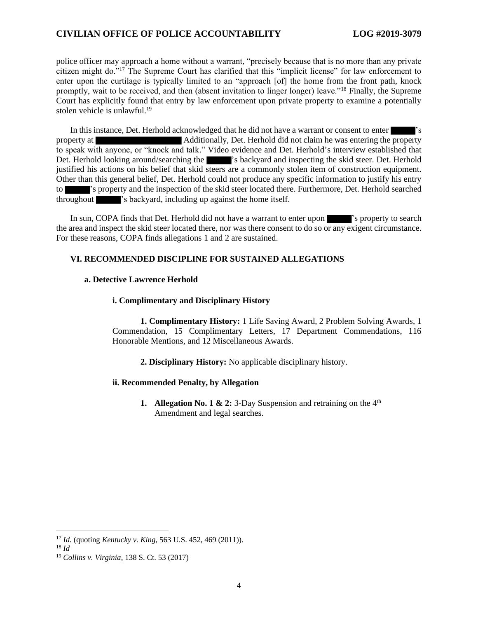### **CIVILIAN OFFICE OF POLICE ACCOUNTABILITY LOG #2019-3079**

police officer may approach a home without a warrant, "precisely because that is no more than any private citizen might do."<sup>17</sup> The Supreme Court has clarified that this "implicit license" for law enforcement to enter upon the curtilage is typically limited to an "approach [of] the home from the front path, knock promptly, wait to be received, and then (absent invitation to linger longer) leave."<sup>18</sup> Finally, the Supreme Court has explicitly found that entry by law enforcement upon private property to examine a potentially stolen vehicle is unlawful.<sup>19</sup>

In this instance, Det. Herhold acknowledged that he did not have a warrant or consent to enter | property at Additionally, Det. Herhold did not claim he was entering the property to speak with anyone, or "knock and talk." Video evidence and Det. Herhold's interview established that Det. Herhold looking around/searching the 's backyard and inspecting the skid steer. Det. Herhold justified his actions on his belief that skid steers are a commonly stolen item of construction equipment. Other than this general belief, Det. Herhold could not produce any specific information to justify his entry to 's property and the inspection of the skid steer located there. Furthermore, Det. Herhold searched throughout 's backyard, including up against the home itself.

In sun, COPA finds that Det. Herhold did not have a warrant to enter upon 's property to search the area and inspect the skid steer located there, nor was there consent to do so or any exigent circumstance. For these reasons, COPA finds allegations 1 and 2 are sustained.

#### **VI. RECOMMENDED DISCIPLINE FOR SUSTAINED ALLEGATIONS**

#### **a. Detective Lawrence Herhold**

#### **i. Complimentary and Disciplinary History**

**1. Complimentary History:** 1 Life Saving Award, 2 Problem Solving Awards, 1 Commendation, 15 Complimentary Letters, 17 Department Commendations, 116 Honorable Mentions, and 12 Miscellaneous Awards.

**2. Disciplinary History:** No applicable disciplinary history.

#### **ii. Recommended Penalty, by Allegation**

**1.** Allegation No. 1 & 2: 3-Day Suspension and retraining on the  $4<sup>th</sup>$ Amendment and legal searches.

<sup>17</sup> *Id.* (quoting *Kentucky v. King*, 563 U.S. 452, 469 (2011)).

<sup>18</sup> *Id*

<sup>19</sup> *Collins v. Virginia*, 138 S. Ct. 53 (2017)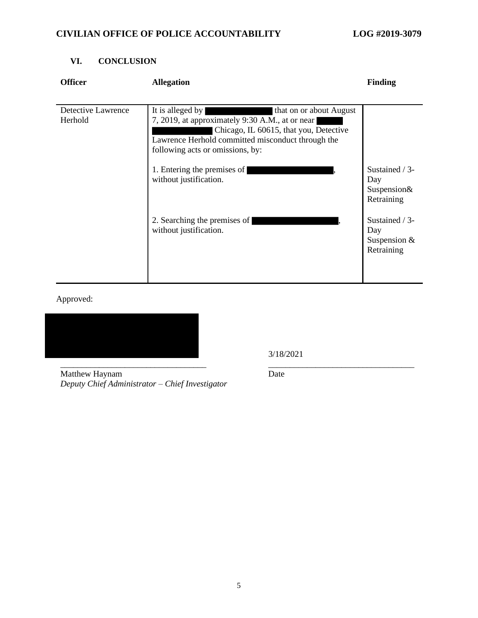# **VI. CONCLUSION**

| <b>Officer</b>                | <b>Allegation</b>                                                                                                                                                                                                                 | <b>Finding</b>                                        |
|-------------------------------|-----------------------------------------------------------------------------------------------------------------------------------------------------------------------------------------------------------------------------------|-------------------------------------------------------|
|                               |                                                                                                                                                                                                                                   |                                                       |
| Detective Lawrence<br>Herhold | It is alleged by<br>that on or about August<br>7, 2019, at approximately 9:30 A.M., at or near<br>Chicago, IL 60615, that you, Detective<br>Lawrence Herhold committed misconduct through the<br>following acts or omissions, by: |                                                       |
|                               | 1. Entering the premises of<br>without justification.                                                                                                                                                                             | Sustained / 3-<br>Day<br>Suspension&<br>Retraining    |
|                               | 2. Searching the premises of<br>without justification.                                                                                                                                                                            | Sustained / 3-<br>Day<br>Suspension $&$<br>Retraining |

Approved:



3/18/2021

Matthew Haynam *Deputy Chief Administrator – Chief Investigator* Date